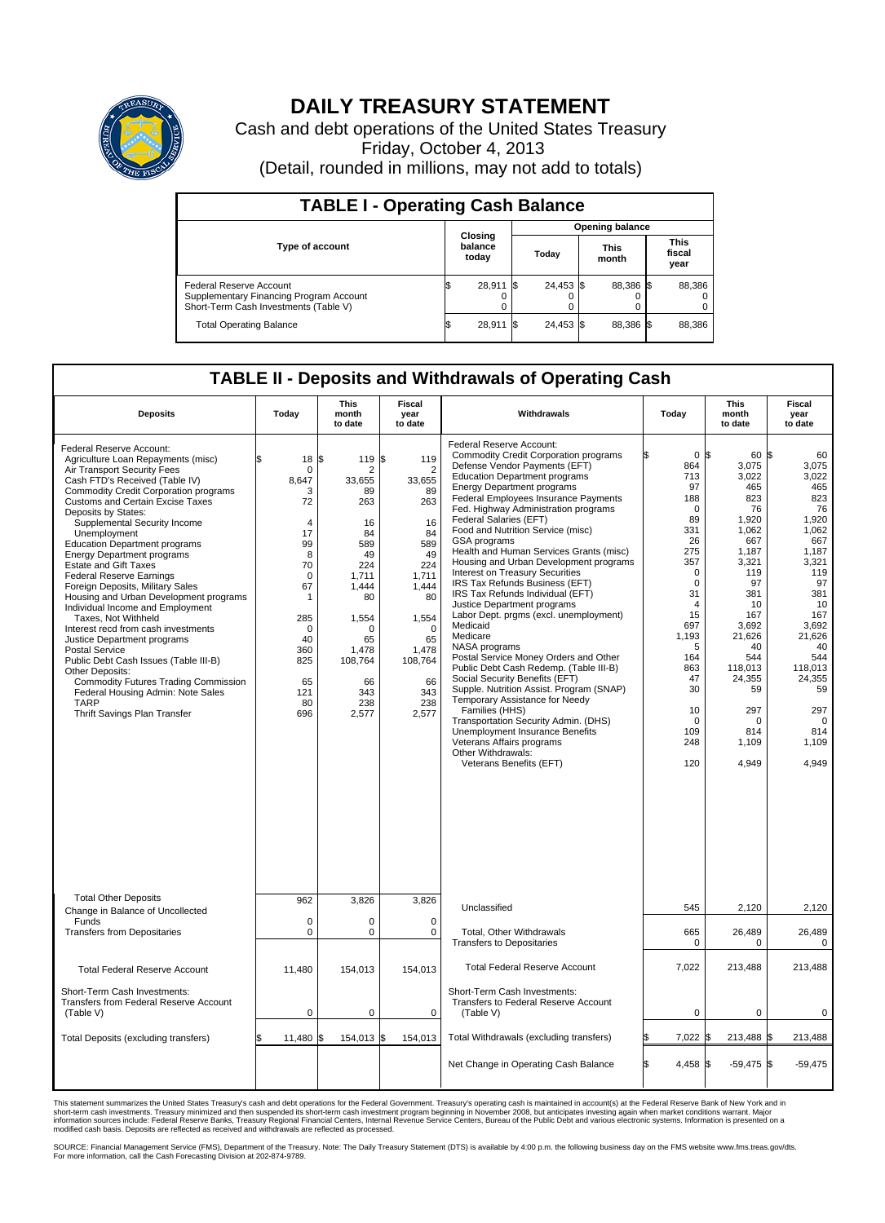

## **DAILY TREASURY STATEMENT**

Cash and debt operations of the United States Treasury Friday, October 4, 2013 (Detail, rounded in millions, may not add to totals)

| <b>TABLE I - Operating Cash Balance</b>                                                                     |    |                             |       |                        |                      |           |                               |        |  |  |
|-------------------------------------------------------------------------------------------------------------|----|-----------------------------|-------|------------------------|----------------------|-----------|-------------------------------|--------|--|--|
|                                                                                                             |    |                             |       | <b>Opening balance</b> |                      |           |                               |        |  |  |
| <b>Type of account</b>                                                                                      |    | Closing<br>balance<br>today | Today |                        | <b>This</b><br>month |           | <b>This</b><br>fiscal<br>year |        |  |  |
| Federal Reserve Account<br>Supplementary Financing Program Account<br>Short-Term Cash Investments (Table V) |    | 28,911                      | - IS  | 24,453 \$              |                      | 88.386 \$ |                               | 88,386 |  |  |
| <b>Total Operating Balance</b>                                                                              | \$ | 28,911                      | 1\$   | 24,453 \$              |                      | 88,386 \$ |                               | 88,386 |  |  |

## **TABLE II - Deposits and Withdrawals of Operating Cash**

| <b>Deposits</b>                                                                                                                                                                                                                                                                                                                                                                                                                                                                                                                                                                                                                                                                                                                                                                                                                                                                   | Today                                                                                                                                                                                   | This<br>month<br>to date                                                                                                                                                 | Fiscal<br>year<br>to date                                                                                                                                                              | Withdrawals                                                                                                                                                                                                                                                                                                                                                                                                                                                                                                                                                                                                                                                                                                                                                                                                                                                                                                                                                                                                                                                | Today                                                                                                                                                                                                                                    | <b>This</b><br>month<br>to date                                                                                                                                                                                                   | Fiscal<br>year<br>to date                                                                                                                                                                                                      |
|-----------------------------------------------------------------------------------------------------------------------------------------------------------------------------------------------------------------------------------------------------------------------------------------------------------------------------------------------------------------------------------------------------------------------------------------------------------------------------------------------------------------------------------------------------------------------------------------------------------------------------------------------------------------------------------------------------------------------------------------------------------------------------------------------------------------------------------------------------------------------------------|-----------------------------------------------------------------------------------------------------------------------------------------------------------------------------------------|--------------------------------------------------------------------------------------------------------------------------------------------------------------------------|----------------------------------------------------------------------------------------------------------------------------------------------------------------------------------------|------------------------------------------------------------------------------------------------------------------------------------------------------------------------------------------------------------------------------------------------------------------------------------------------------------------------------------------------------------------------------------------------------------------------------------------------------------------------------------------------------------------------------------------------------------------------------------------------------------------------------------------------------------------------------------------------------------------------------------------------------------------------------------------------------------------------------------------------------------------------------------------------------------------------------------------------------------------------------------------------------------------------------------------------------------|------------------------------------------------------------------------------------------------------------------------------------------------------------------------------------------------------------------------------------------|-----------------------------------------------------------------------------------------------------------------------------------------------------------------------------------------------------------------------------------|--------------------------------------------------------------------------------------------------------------------------------------------------------------------------------------------------------------------------------|
| Federal Reserve Account:<br>Agriculture Loan Repayments (misc)<br>Air Transport Security Fees<br>Cash FTD's Received (Table IV)<br><b>Commodity Credit Corporation programs</b><br><b>Customs and Certain Excise Taxes</b><br>Deposits by States:<br>Supplemental Security Income<br>Unemployment<br><b>Education Department programs</b><br><b>Energy Department programs</b><br><b>Estate and Gift Taxes</b><br><b>Federal Reserve Earnings</b><br>Foreign Deposits, Military Sales<br>Housing and Urban Development programs<br>Individual Income and Employment<br>Taxes, Not Withheld<br>Interest recd from cash investments<br>Justice Department programs<br><b>Postal Service</b><br>Public Debt Cash Issues (Table III-B)<br>Other Deposits:<br>Commodity Futures Trading Commission<br>Federal Housing Admin: Note Sales<br><b>TARP</b><br>Thrift Savings Plan Transfer | 18<br>$\mathbf 0$<br>8.647<br>3<br>72<br>$\overline{4}$<br>17<br>99<br>8<br>70<br>$\mathbf 0$<br>67<br>$\mathbf{1}$<br>285<br>$\mathbf 0$<br>40<br>360<br>825<br>65<br>121<br>80<br>696 | ß<br>119<br>2<br>33,655<br>89<br>263<br>16<br>84<br>589<br>49<br>224<br>1.711<br>1,444<br>80<br>1,554<br>$\Omega$<br>65<br>1.478<br>108,764<br>66<br>343<br>238<br>2,577 | \$<br>119<br>$\overline{2}$<br>33,655<br>89<br>263<br>16<br>84<br>589<br>49<br>224<br>1.711<br>1,444<br>80<br>1,554<br>$\Omega$<br>65<br>1.478<br>108,764<br>66<br>343<br>238<br>2,577 | Federal Reserve Account:<br><b>Commodity Credit Corporation programs</b><br>Defense Vendor Payments (EFT)<br><b>Education Department programs</b><br><b>Energy Department programs</b><br>Federal Employees Insurance Payments<br>Fed. Highway Administration programs<br>Federal Salaries (EFT)<br>Food and Nutrition Service (misc)<br>GSA programs<br>Health and Human Services Grants (misc)<br>Housing and Urban Development programs<br>Interest on Treasury Securities<br>IRS Tax Refunds Business (EFT)<br>IRS Tax Refunds Individual (EFT)<br>Justice Department programs<br>Labor Dept. prgms (excl. unemployment)<br>Medicaid<br>Medicare<br>NASA programs<br>Postal Service Money Orders and Other<br>Public Debt Cash Redemp. (Table III-B)<br>Social Security Benefits (EFT)<br>Supple. Nutrition Assist. Program (SNAP)<br>Temporary Assistance for Needy<br>Families (HHS)<br>Transportation Security Admin. (DHS)<br><b>Unemployment Insurance Benefits</b><br>Veterans Affairs programs<br>Other Withdrawals:<br>Veterans Benefits (EFT) | 0 <sup>8</sup><br>864<br>713<br>97<br>188<br>$\Omega$<br>89<br>331<br>26<br>275<br>357<br>$\mathbf 0$<br>$\Omega$<br>31<br>$\overline{4}$<br>15<br>697<br>1,193<br>5<br>164<br>863<br>47<br>30<br>10<br>$\mathbf 0$<br>109<br>248<br>120 | 60 \$<br>3,075<br>3,022<br>465<br>823<br>76<br>1,920<br>1,062<br>667<br>1,187<br>3,321<br>119<br>97<br>381<br>10<br>167<br>3.692<br>21,626<br>40<br>544<br>118,013<br>24,355<br>59<br>297<br>$\mathbf 0$<br>814<br>1,109<br>4,949 | 60<br>3,075<br>3,022<br>465<br>823<br>76<br>1,920<br>1,062<br>667<br>1,187<br>3,321<br>119<br>97<br>381<br>10<br>167<br>3.692<br>21,626<br>40<br>544<br>118,013<br>24,355<br>59<br>297<br>$\mathbf 0$<br>814<br>1,109<br>4,949 |
| <b>Total Other Deposits</b><br>Change in Balance of Uncollected                                                                                                                                                                                                                                                                                                                                                                                                                                                                                                                                                                                                                                                                                                                                                                                                                   | 962                                                                                                                                                                                     | 3,826                                                                                                                                                                    | 3.826                                                                                                                                                                                  | Unclassified                                                                                                                                                                                                                                                                                                                                                                                                                                                                                                                                                                                                                                                                                                                                                                                                                                                                                                                                                                                                                                               | 545                                                                                                                                                                                                                                      | 2,120                                                                                                                                                                                                                             | 2,120                                                                                                                                                                                                                          |
| Funds<br><b>Transfers from Depositaries</b>                                                                                                                                                                                                                                                                                                                                                                                                                                                                                                                                                                                                                                                                                                                                                                                                                                       | $\mathbf 0$<br>$\mathbf 0$                                                                                                                                                              | $\mathbf 0$<br>$\mathbf 0$                                                                                                                                               | $\mathbf 0$<br>$\mathbf 0$                                                                                                                                                             | Total, Other Withdrawals<br><b>Transfers to Depositaries</b>                                                                                                                                                                                                                                                                                                                                                                                                                                                                                                                                                                                                                                                                                                                                                                                                                                                                                                                                                                                               | 665<br>$\mathbf 0$                                                                                                                                                                                                                       | 26,489<br>$\Omega$                                                                                                                                                                                                                | 26,489<br>$\mathbf 0$                                                                                                                                                                                                          |
| <b>Total Federal Reserve Account</b>                                                                                                                                                                                                                                                                                                                                                                                                                                                                                                                                                                                                                                                                                                                                                                                                                                              | 11,480                                                                                                                                                                                  | 154,013                                                                                                                                                                  | 154,013                                                                                                                                                                                | <b>Total Federal Reserve Account</b>                                                                                                                                                                                                                                                                                                                                                                                                                                                                                                                                                                                                                                                                                                                                                                                                                                                                                                                                                                                                                       | 7,022                                                                                                                                                                                                                                    | 213,488                                                                                                                                                                                                                           | 213,488                                                                                                                                                                                                                        |
| Short-Term Cash Investments:<br><b>Transfers from Federal Reserve Account</b><br>(Table V)                                                                                                                                                                                                                                                                                                                                                                                                                                                                                                                                                                                                                                                                                                                                                                                        | $\pmb{0}$                                                                                                                                                                               | $\pmb{0}$                                                                                                                                                                | $\mathbf 0$                                                                                                                                                                            | Short-Term Cash Investments:<br>Transfers to Federal Reserve Account<br>(Table V)                                                                                                                                                                                                                                                                                                                                                                                                                                                                                                                                                                                                                                                                                                                                                                                                                                                                                                                                                                          | $\mathbf 0$                                                                                                                                                                                                                              | $\mathbf 0$                                                                                                                                                                                                                       | 0                                                                                                                                                                                                                              |
| Total Deposits (excluding transfers)                                                                                                                                                                                                                                                                                                                                                                                                                                                                                                                                                                                                                                                                                                                                                                                                                                              | 11,480                                                                                                                                                                                  | 154,013 \$<br>l\$                                                                                                                                                        | 154,013                                                                                                                                                                                | Total Withdrawals (excluding transfers)                                                                                                                                                                                                                                                                                                                                                                                                                                                                                                                                                                                                                                                                                                                                                                                                                                                                                                                                                                                                                    | 7,022 \$                                                                                                                                                                                                                                 | 213,488 \$                                                                                                                                                                                                                        | 213,488                                                                                                                                                                                                                        |
|                                                                                                                                                                                                                                                                                                                                                                                                                                                                                                                                                                                                                                                                                                                                                                                                                                                                                   |                                                                                                                                                                                         |                                                                                                                                                                          |                                                                                                                                                                                        | Net Change in Operating Cash Balance                                                                                                                                                                                                                                                                                                                                                                                                                                                                                                                                                                                                                                                                                                                                                                                                                                                                                                                                                                                                                       | 4,458 \$<br>ß.                                                                                                                                                                                                                           | $-59,475$ \$                                                                                                                                                                                                                      | $-59,475$                                                                                                                                                                                                                      |

This statement summarizes the United States Treasury's cash and debt operations for the Federal Government. Treasury's operating cash is maintained in account(s) at the Federal Reserve Bank of New York and in<br>short-term ca

SOURCE: Financial Management Service (FMS), Department of the Treasury. Note: The Daily Treasury Statement (DTS) is available by 4:00 p.m. the following business day on the FMS website www.fms.treas.gov/dts.<br>For more infor